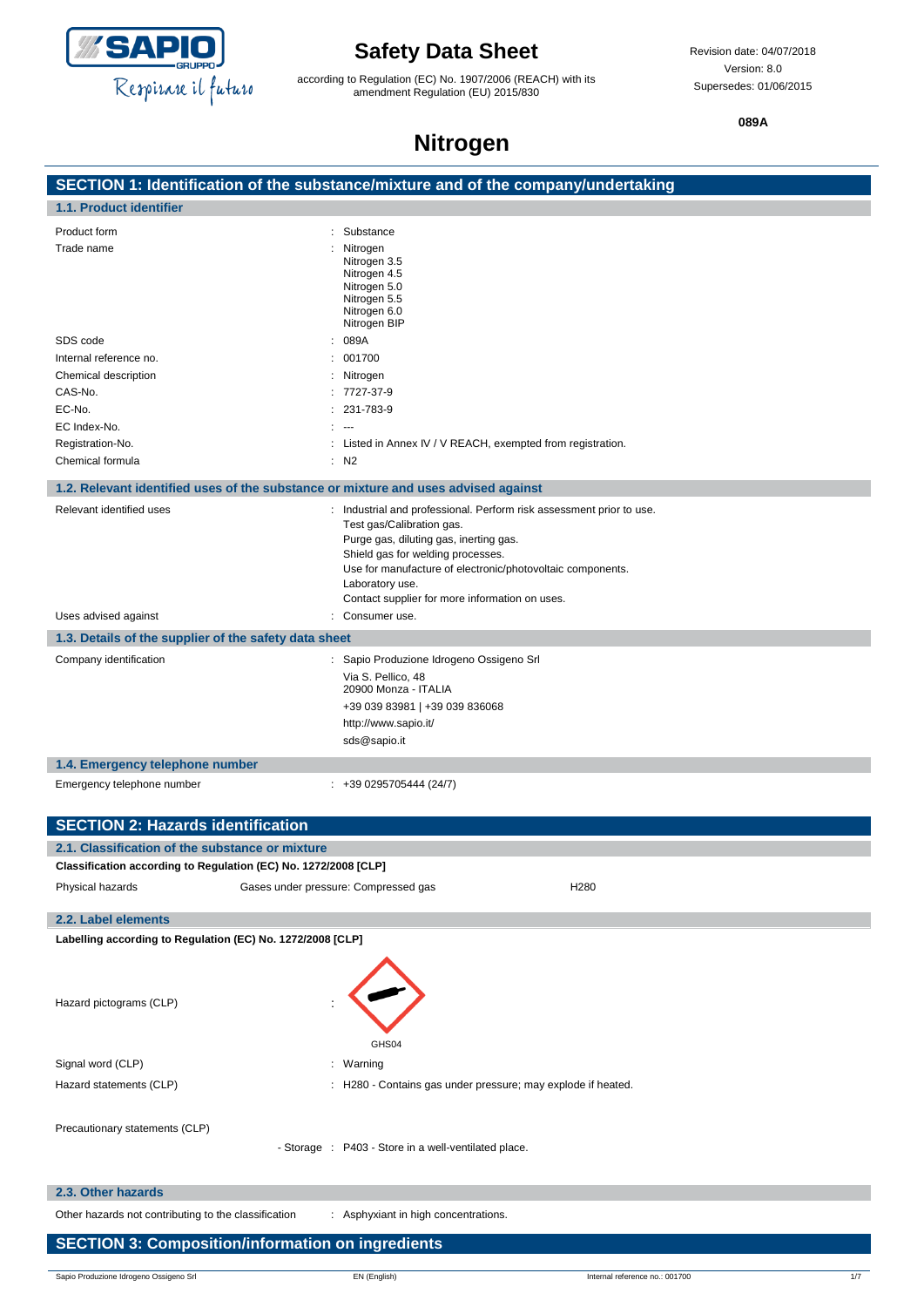

according to Regulation (EC) No. 1907/2006 (REACH) with its amendment Regulation (EU) 2015/830

**089A**

## **Nitrogen**

|                                                                                    | SECTION 1: Identification of the substance/mixture and of the company/undertaking |
|------------------------------------------------------------------------------------|-----------------------------------------------------------------------------------|
| 1.1. Product identifier                                                            |                                                                                   |
| Product form                                                                       | Substance                                                                         |
| Trade name                                                                         | Nitrogen                                                                          |
|                                                                                    | Nitrogen 3.5<br>Nitrogen 4.5                                                      |
|                                                                                    | Nitrogen 5.0                                                                      |
|                                                                                    | Nitrogen 5.5<br>Nitrogen 6.0                                                      |
|                                                                                    | Nitrogen BIP                                                                      |
| SDS code                                                                           | 089A                                                                              |
| Internal reference no.                                                             | 001700                                                                            |
| Chemical description                                                               | Nitrogen                                                                          |
| CAS-No.                                                                            | 7727-37-9                                                                         |
| EC-No.                                                                             | 231-783-9                                                                         |
| EC Index-No.                                                                       | $\overline{\phantom{a}}$                                                          |
| Registration-No.                                                                   | Listed in Annex IV / V REACH, exempted from registration.                         |
| Chemical formula                                                                   | $:$ N <sub>2</sub>                                                                |
| 1.2. Relevant identified uses of the substance or mixture and uses advised against |                                                                                   |
| Relevant identified uses                                                           | Industrial and professional. Perform risk assessment prior to use.                |
|                                                                                    | Test gas/Calibration gas.                                                         |
|                                                                                    | Purge gas, diluting gas, inerting gas.<br>Shield gas for welding processes.       |
|                                                                                    | Use for manufacture of electronic/photovoltaic components.                        |
|                                                                                    | Laboratory use.                                                                   |
|                                                                                    | Contact supplier for more information on uses.                                    |
| Uses advised against                                                               | Consumer use.                                                                     |
| 1.3. Details of the supplier of the safety data sheet                              |                                                                                   |
| Company identification                                                             | : Sapio Produzione Idrogeno Ossigeno Srl                                          |
|                                                                                    | Via S. Pellico, 48                                                                |
|                                                                                    | 20900 Monza - ITALIA                                                              |
|                                                                                    | +39 039 83981   +39 039 836068                                                    |
|                                                                                    | http://www.sapio.it/                                                              |
|                                                                                    | sds@sapio.it                                                                      |
| 1.4. Emergency telephone number                                                    |                                                                                   |
| Emergency telephone number                                                         | $: +390295705444(24/7)$                                                           |
|                                                                                    |                                                                                   |
| <b>SECTION 2: Hazards identification</b>                                           |                                                                                   |
| 2.1. Classification of the substance or mixture                                    |                                                                                   |
| Classification according to Regulation (EC) No. 1272/2008 [CLP]                    |                                                                                   |
| Physical hazards                                                                   | H280<br>Gases under pressure: Compressed gas                                      |
| 2.2. Label elements                                                                |                                                                                   |
| Labelling according to Regulation (EC) No. 1272/2008 [CLP]                         |                                                                                   |
|                                                                                    |                                                                                   |
|                                                                                    |                                                                                   |
| Hazard pictograms (CLP)                                                            |                                                                                   |
|                                                                                    |                                                                                   |
|                                                                                    |                                                                                   |
|                                                                                    | GHS04                                                                             |
| Signal word (CLP)                                                                  | : Warning                                                                         |
| Hazard statements (CLP)                                                            | : H280 - Contains gas under pressure; may explode if heated.                      |
|                                                                                    |                                                                                   |
| Precautionary statements (CLP)                                                     |                                                                                   |
|                                                                                    | - Storage : P403 - Store in a well-ventilated place.                              |
|                                                                                    |                                                                                   |
| 2.3. Other hazards                                                                 |                                                                                   |
| Other hazards not contributing to the classification                               | : Asphyxiant in high concentrations.                                              |

### **SECTION 3: Composition/information on ingredients**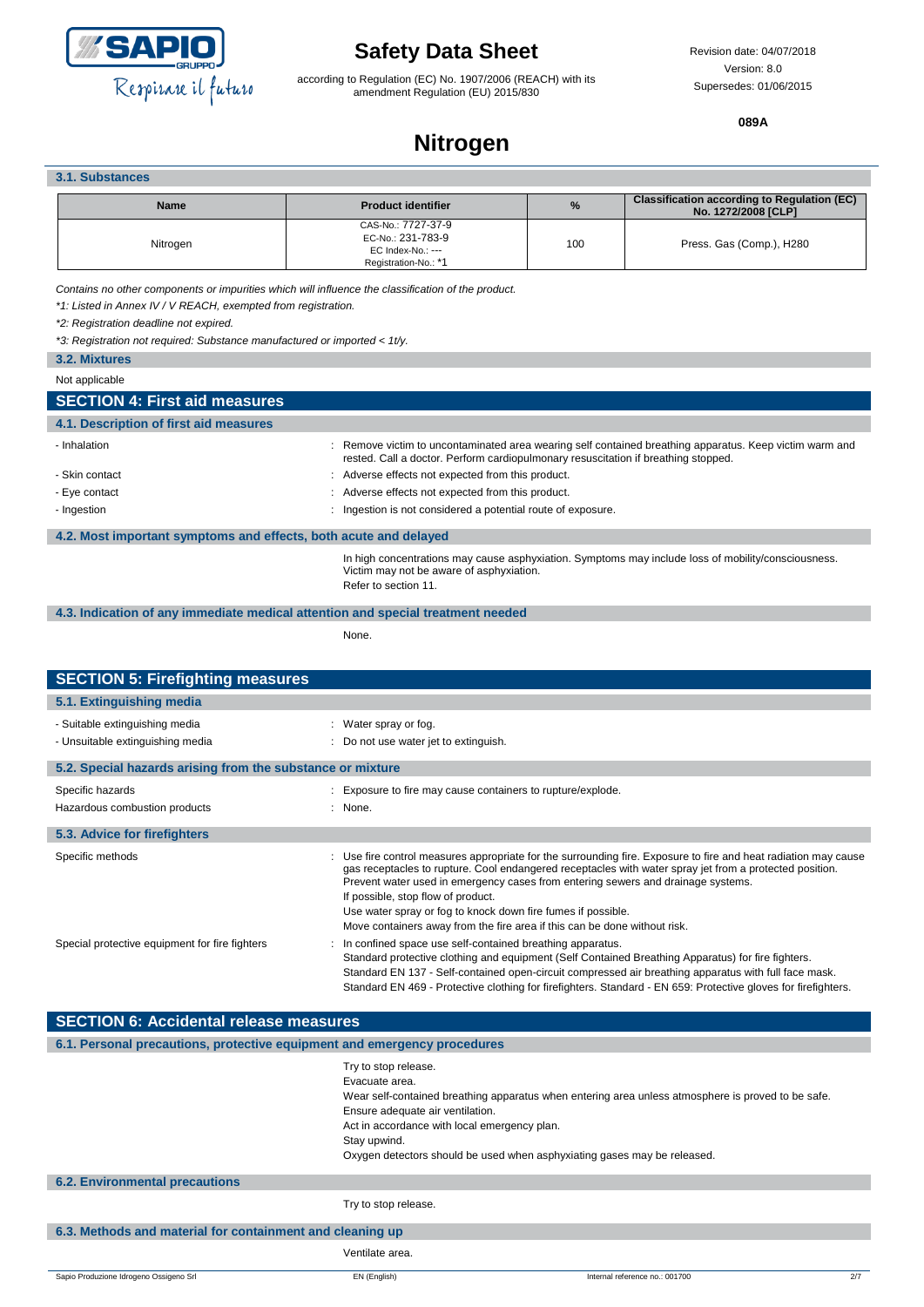

according to Regulation (EC) No. 1907/2006 (REACH) with its amendment Regulation (EU) 2015/830

**089A**

## **Nitrogen**

### **3.1. Substances**

| <b>Name</b> | <b>Product identifier</b>                                                            | $\%$ | <b>Classification according to Regulation (EC)</b><br>No. 1272/2008 [CLP] |
|-------------|--------------------------------------------------------------------------------------|------|---------------------------------------------------------------------------|
| Nitrogen    | CAS-No.: 7727-37-9<br>EC-No.: 231-783-9<br>EC Index-No.: ---<br>Registration-No.: *1 | 100  | Press. Gas (Comp.), H280                                                  |

*Contains no other components or impurities which will influence the classification of the product.*

*\*1: Listed in Annex IV / V REACH, exempted from registration.*

*\*2: Registration deadline not expired.*

*\*3: Registration not required: Substance manufactured or imported < 1t/y.*

**3.2. Mixtures**

Not applicable

I

## **SECTION 4: First aid measures**

| 4.1. Description of first aid measures                           |                                                                                                                                                                                             |  |
|------------------------------------------------------------------|---------------------------------------------------------------------------------------------------------------------------------------------------------------------------------------------|--|
| - Inhalation                                                     | Remove victim to uncontaminated area wearing self contained breathing apparatus. Keep victim warm and<br>rested. Call a doctor. Perform cardiopulmonary resuscitation if breathing stopped. |  |
| - Skin contact                                                   | Adverse effects not expected from this product.                                                                                                                                             |  |
| - Eye contact                                                    | Adverse effects not expected from this product.                                                                                                                                             |  |
| - Ingestion                                                      | Ingestion is not considered a potential route of exposure.                                                                                                                                  |  |
|                                                                  |                                                                                                                                                                                             |  |
| 4.2. Most important symptoms and effects, both acute and delayed |                                                                                                                                                                                             |  |

In high concentrations may cause asphyxiation. Symptoms may include loss of mobility/consciousness. Victim may not be aware of asphyxiation. Refer to section 11.

**4.3. Indication of any immediate medical attention and special treatment needed**

None.

| <b>SECTION 5: Firefighting measures</b>                                  |                                                                                                                                                                                                                                                                                                                                                                                                                                                                                                                                                                                                                                                                                                                                                                                                                                                                                               |
|--------------------------------------------------------------------------|-----------------------------------------------------------------------------------------------------------------------------------------------------------------------------------------------------------------------------------------------------------------------------------------------------------------------------------------------------------------------------------------------------------------------------------------------------------------------------------------------------------------------------------------------------------------------------------------------------------------------------------------------------------------------------------------------------------------------------------------------------------------------------------------------------------------------------------------------------------------------------------------------|
| 5.1. Extinguishing media                                                 |                                                                                                                                                                                                                                                                                                                                                                                                                                                                                                                                                                                                                                                                                                                                                                                                                                                                                               |
| - Suitable extinguishing media                                           | : Water spray or fog.                                                                                                                                                                                                                                                                                                                                                                                                                                                                                                                                                                                                                                                                                                                                                                                                                                                                         |
| - Unsuitable extinguishing media                                         | Do not use water jet to extinguish.                                                                                                                                                                                                                                                                                                                                                                                                                                                                                                                                                                                                                                                                                                                                                                                                                                                           |
| 5.2. Special hazards arising from the substance or mixture               |                                                                                                                                                                                                                                                                                                                                                                                                                                                                                                                                                                                                                                                                                                                                                                                                                                                                                               |
| Specific hazards                                                         | Exposure to fire may cause containers to rupture/explode.                                                                                                                                                                                                                                                                                                                                                                                                                                                                                                                                                                                                                                                                                                                                                                                                                                     |
| Hazardous combustion products                                            | : None.                                                                                                                                                                                                                                                                                                                                                                                                                                                                                                                                                                                                                                                                                                                                                                                                                                                                                       |
| 5.3. Advice for firefighters                                             |                                                                                                                                                                                                                                                                                                                                                                                                                                                                                                                                                                                                                                                                                                                                                                                                                                                                                               |
| Specific methods<br>Special protective equipment for fire fighters       | Use fire control measures appropriate for the surrounding fire. Exposure to fire and heat radiation may cause<br>gas receptacles to rupture. Cool endangered receptacles with water spray jet from a protected position.<br>Prevent water used in emergency cases from entering sewers and drainage systems.<br>If possible, stop flow of product.<br>Use water spray or fog to knock down fire fumes if possible.<br>Move containers away from the fire area if this can be done without risk.<br>In confined space use self-contained breathing apparatus.<br>Standard protective clothing and equipment (Self Contained Breathing Apparatus) for fire fighters.<br>Standard EN 137 - Self-contained open-circuit compressed air breathing apparatus with full face mask.<br>Standard EN 469 - Protective clothing for firefighters. Standard - EN 659: Protective gloves for firefighters. |
| <b>SECTION 6: Accidental release measures</b>                            |                                                                                                                                                                                                                                                                                                                                                                                                                                                                                                                                                                                                                                                                                                                                                                                                                                                                                               |
| 6.1. Personal precautions, protective equipment and emergency procedures |                                                                                                                                                                                                                                                                                                                                                                                                                                                                                                                                                                                                                                                                                                                                                                                                                                                                                               |
|                                                                          | Try to stop release.<br>Evacuate area.<br>Wear self-contained breathing apparatus when entering area unless atmosphere is proved to be safe.<br>Ensure adequate air ventilation.                                                                                                                                                                                                                                                                                                                                                                                                                                                                                                                                                                                                                                                                                                              |
|                                                                          | Act in accordance with local emergency plan.                                                                                                                                                                                                                                                                                                                                                                                                                                                                                                                                                                                                                                                                                                                                                                                                                                                  |

Stay upwind.

Oxygen detectors should be used when asphyxiating gases may be released.

#### **6.2. Environmental precautions**

Try to stop release.

### **6.3. Methods and material for containment and cleaning up**

Ventilate area.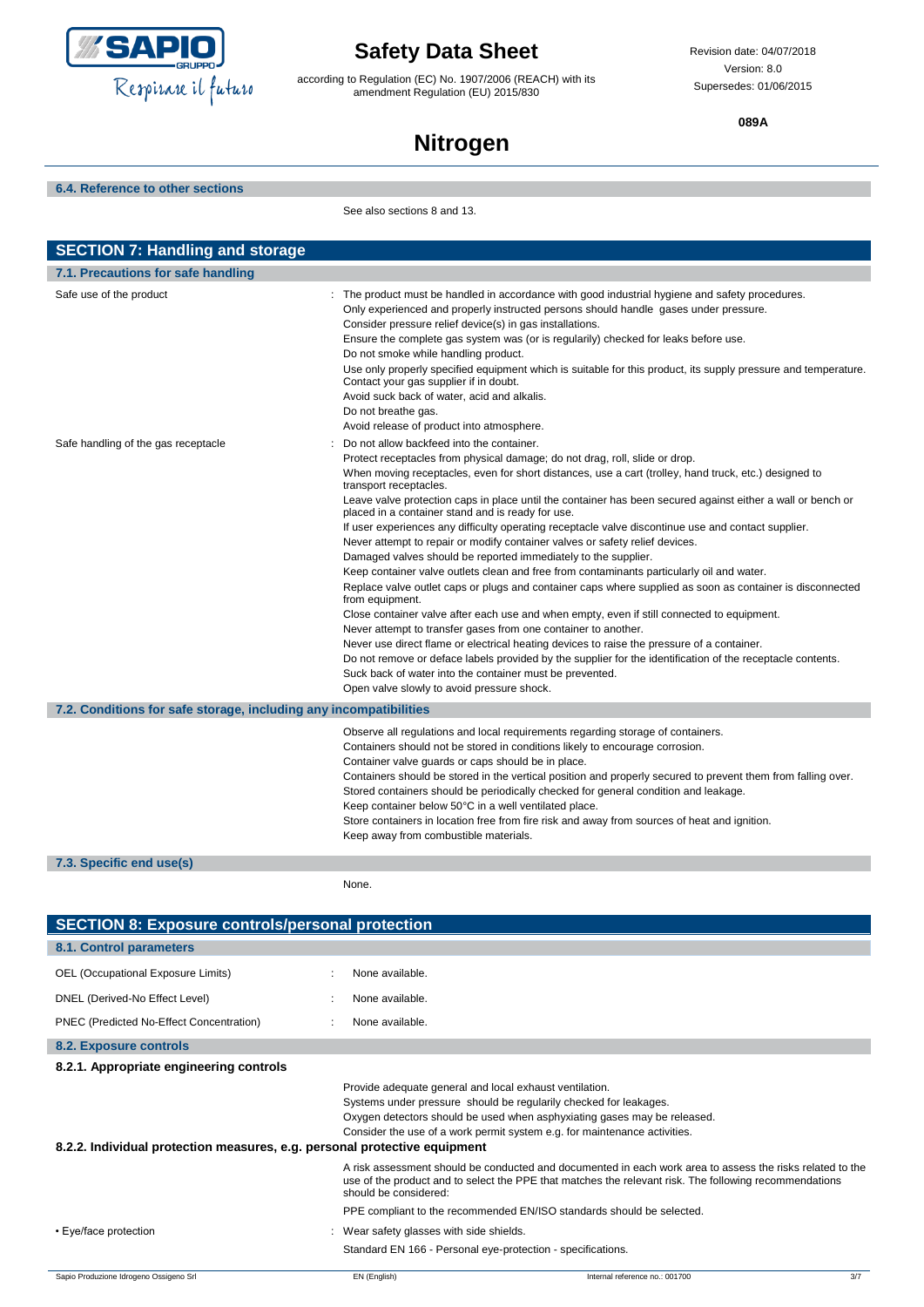

according to Regulation (EC) No. 1907/2006 (REACH) with its amendment Regulation (EU) 2015/830

Revision date: 04/07/2018 Version: 8.0 Supersedes: 01/06/2015

**089A**

# **Nitrogen**

**6.4. Reference to other sections**

See also sections 8 and 13.

| <b>SECTION 7: Handling and storage</b>                            |                                                                                                                                                                                                                                                                                                                                                                                                                                                                                                                                                                                                                                                                                                                                                                                                                                                                                                                                                                                                                                                                                                                                                                                                                                                                                                                                                                                                             |
|-------------------------------------------------------------------|-------------------------------------------------------------------------------------------------------------------------------------------------------------------------------------------------------------------------------------------------------------------------------------------------------------------------------------------------------------------------------------------------------------------------------------------------------------------------------------------------------------------------------------------------------------------------------------------------------------------------------------------------------------------------------------------------------------------------------------------------------------------------------------------------------------------------------------------------------------------------------------------------------------------------------------------------------------------------------------------------------------------------------------------------------------------------------------------------------------------------------------------------------------------------------------------------------------------------------------------------------------------------------------------------------------------------------------------------------------------------------------------------------------|
| 7.1. Precautions for safe handling                                |                                                                                                                                                                                                                                                                                                                                                                                                                                                                                                                                                                                                                                                                                                                                                                                                                                                                                                                                                                                                                                                                                                                                                                                                                                                                                                                                                                                                             |
| Safe use of the product                                           | : The product must be handled in accordance with good industrial hygiene and safety procedures.<br>Only experienced and properly instructed persons should handle gases under pressure.<br>Consider pressure relief device(s) in gas installations.<br>Ensure the complete gas system was (or is regularily) checked for leaks before use.<br>Do not smoke while handling product.<br>Use only properly specified equipment which is suitable for this product, its supply pressure and temperature.<br>Contact your gas supplier if in doubt.<br>Avoid suck back of water, acid and alkalis.<br>Do not breathe gas.<br>Avoid release of product into atmosphere.                                                                                                                                                                                                                                                                                                                                                                                                                                                                                                                                                                                                                                                                                                                                           |
| Safe handling of the gas receptacle                               | Do not allow backfeed into the container.<br>Protect receptacles from physical damage; do not drag, roll, slide or drop.<br>When moving receptacles, even for short distances, use a cart (trolley, hand truck, etc.) designed to<br>transport receptacles.<br>Leave valve protection caps in place until the container has been secured against either a wall or bench or<br>placed in a container stand and is ready for use.<br>If user experiences any difficulty operating receptacle valve discontinue use and contact supplier.<br>Never attempt to repair or modify container valves or safety relief devices.<br>Damaged valves should be reported immediately to the supplier.<br>Keep container valve outlets clean and free from contaminants particularly oil and water.<br>Replace valve outlet caps or plugs and container caps where supplied as soon as container is disconnected<br>from equipment.<br>Close container valve after each use and when empty, even if still connected to equipment.<br>Never attempt to transfer gases from one container to another.<br>Never use direct flame or electrical heating devices to raise the pressure of a container.<br>Do not remove or deface labels provided by the supplier for the identification of the receptacle contents.<br>Suck back of water into the container must be prevented.<br>Open valve slowly to avoid pressure shock. |
| 7.2. Conditions for safe storage, including any incompatibilities |                                                                                                                                                                                                                                                                                                                                                                                                                                                                                                                                                                                                                                                                                                                                                                                                                                                                                                                                                                                                                                                                                                                                                                                                                                                                                                                                                                                                             |
| 7.3. Specific end use(s)                                          | Observe all regulations and local requirements regarding storage of containers.<br>Containers should not be stored in conditions likely to encourage corrosion.<br>Container valve guards or caps should be in place.<br>Containers should be stored in the vertical position and properly secured to prevent them from falling over.<br>Stored containers should be periodically checked for general condition and leakage.<br>Keep container below 50°C in a well ventilated place.<br>Store containers in location free from fire risk and away from sources of heat and ignition.<br>Keep away from combustible materials.                                                                                                                                                                                                                                                                                                                                                                                                                                                                                                                                                                                                                                                                                                                                                                              |

None.

| <b>SECTION 8: Exposure controls/personal protection</b>                   |                                                             |                                                                                                                                                                                                                            |     |
|---------------------------------------------------------------------------|-------------------------------------------------------------|----------------------------------------------------------------------------------------------------------------------------------------------------------------------------------------------------------------------------|-----|
| 8.1. Control parameters                                                   |                                                             |                                                                                                                                                                                                                            |     |
| OEL (Occupational Exposure Limits)                                        | None available.                                             |                                                                                                                                                                                                                            |     |
| DNEL (Derived-No Effect Level)                                            | None available.                                             |                                                                                                                                                                                                                            |     |
| PNEC (Predicted No-Effect Concentration)                                  | None available.                                             |                                                                                                                                                                                                                            |     |
| 8.2. Exposure controls                                                    |                                                             |                                                                                                                                                                                                                            |     |
| 8.2.1. Appropriate engineering controls                                   |                                                             |                                                                                                                                                                                                                            |     |
| 8.2.2. Individual protection measures, e.g. personal protective equipment | Provide adequate general and local exhaust ventilation.     | Systems under pressure should be regularily checked for leakages.<br>Oxygen detectors should be used when asphyxiating gases may be released.<br>Consider the use of a work permit system e.g. for maintenance activities. |     |
|                                                                           | should be considered:                                       | A risk assessment should be conducted and documented in each work area to assess the risks related to the<br>use of the product and to select the PPE that matches the relevant risk. The following recommendations        |     |
|                                                                           |                                                             | PPE compliant to the recommended EN/ISO standards should be selected.                                                                                                                                                      |     |
| • Eye/face protection                                                     | Wear safety glasses with side shields.                      |                                                                                                                                                                                                                            |     |
|                                                                           | Standard EN 166 - Personal eye-protection - specifications. |                                                                                                                                                                                                                            |     |
| Sapio Produzione Idrogeno Ossigeno Srl                                    | EN (English)                                                | Internal reference no.: 001700                                                                                                                                                                                             | 3/7 |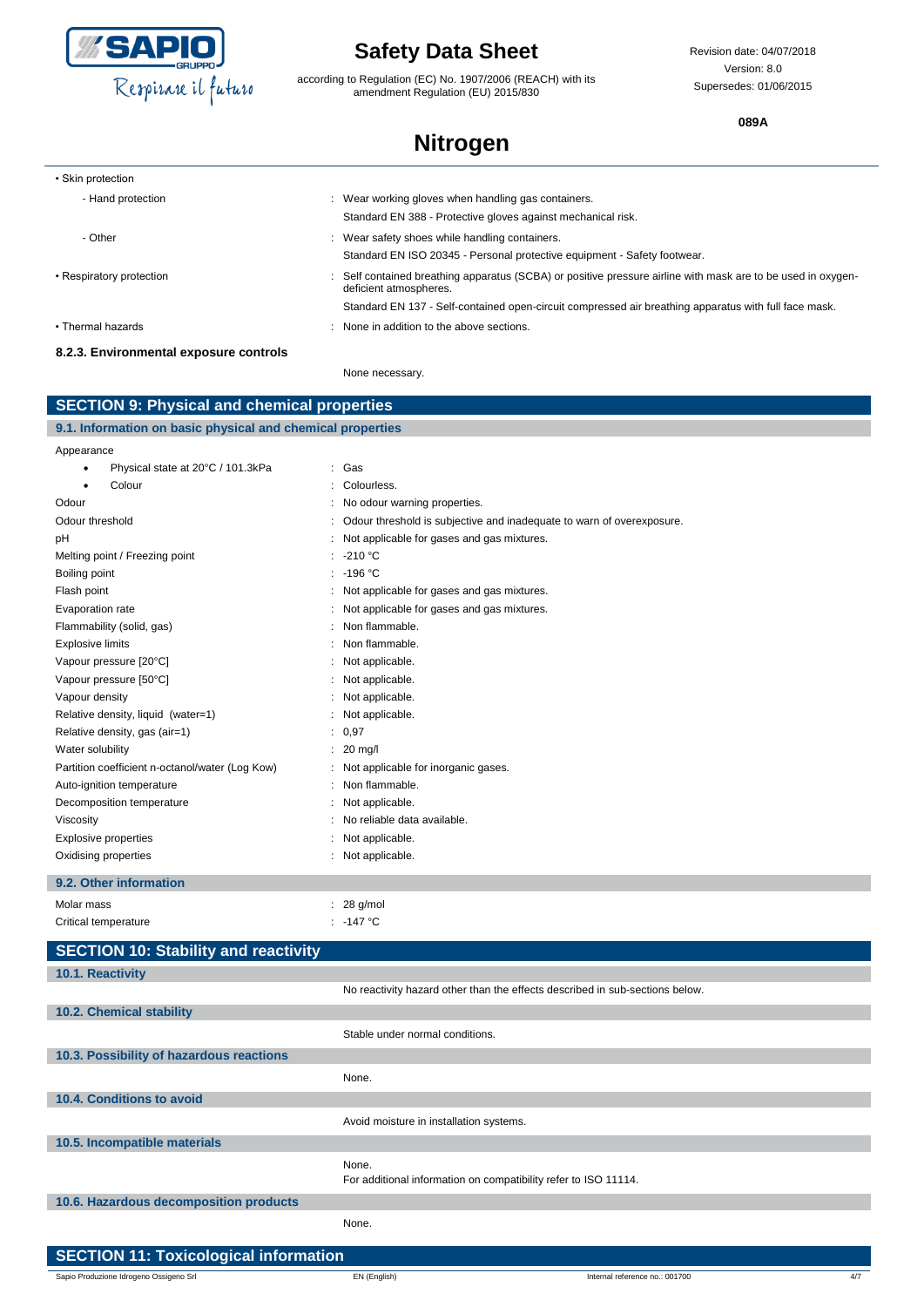

according to Regulation (EC) No. 1907/2006 (REACH) with its amendment Regulation (EU) 2015/830

Revision date: 04/07/2018 Version: 8.0 Supersedes: 01/06/2015

**089A**

## **Nitrogen**

| • Skin protection                      |                                                                                                                                      |
|----------------------------------------|--------------------------------------------------------------------------------------------------------------------------------------|
| - Hand protection                      | Wear working gloves when handling gas containers.                                                                                    |
|                                        | Standard EN 388 - Protective gloves against mechanical risk.                                                                         |
| - Other                                | Wear safety shoes while handling containers.                                                                                         |
|                                        | Standard EN ISO 20345 - Personal protective equipment - Safety footwear.                                                             |
| • Respiratory protection               | Self contained breathing apparatus (SCBA) or positive pressure airline with mask are to be used in oxygen-<br>deficient atmospheres. |
|                                        | Standard EN 137 - Self-contained open-circuit compressed air breathing apparatus with full face mask.                                |
| • Thermal hazards                      | None in addition to the above sections.                                                                                              |
| 8.2.3. Environmental exposure controls |                                                                                                                                      |

None necessary.

| <b>SECTION 9: Physical and chemical properties</b>         |                                                                              |  |
|------------------------------------------------------------|------------------------------------------------------------------------------|--|
| 9.1. Information on basic physical and chemical properties |                                                                              |  |
| Appearance                                                 |                                                                              |  |
| Physical state at 20°C / 101.3kPa<br>$\bullet$             | : Gas                                                                        |  |
| Colour                                                     | Colourless.<br>÷                                                             |  |
| Odour                                                      | : No odour warning properties.                                               |  |
| Odour threshold                                            | Odour threshold is subjective and inadequate to warn of overexposure.        |  |
| рH                                                         | Not applicable for gases and gas mixtures.<br>÷                              |  |
| Melting point / Freezing point                             | $: -210 °C$                                                                  |  |
| Boiling point                                              | $: -196 °C$                                                                  |  |
| Flash point                                                | Not applicable for gases and gas mixtures.<br>÷                              |  |
| Evaporation rate                                           | : Not applicable for gases and gas mixtures.                                 |  |
| Flammability (solid, gas)                                  | Non flammable.<br>÷.                                                         |  |
| <b>Explosive limits</b>                                    | Non flammable.<br>÷                                                          |  |
| Vapour pressure [20°C]                                     | : Not applicable.                                                            |  |
| Vapour pressure [50°C]                                     | : Not applicable.                                                            |  |
| Vapour density                                             | : Not applicable.                                                            |  |
| Relative density, liquid (water=1)                         | Not applicable.                                                              |  |
| Relative density, gas (air=1)                              | : 0,97                                                                       |  |
| Water solubility                                           | $: 20$ mg/l                                                                  |  |
| Partition coefficient n-octanol/water (Log Kow)            | : Not applicable for inorganic gases.                                        |  |
| Auto-ignition temperature                                  | Non flammable.<br>÷                                                          |  |
| Decomposition temperature                                  | : Not applicable.                                                            |  |
| Viscosity                                                  | No reliable data available.                                                  |  |
| <b>Explosive properties</b>                                | Not applicable.<br>÷                                                         |  |
| Oxidising properties                                       | : Not applicable.                                                            |  |
| 9.2. Other information                                     |                                                                              |  |
| Molar mass                                                 | $: 28$ g/mol                                                                 |  |
| Critical temperature                                       | : -147 $^{\circ}$ C                                                          |  |
| <b>SECTION 10: Stability and reactivity</b>                |                                                                              |  |
| 10.1. Reactivity                                           |                                                                              |  |
|                                                            | No reactivity hazard other than the effects described in sub-sections below. |  |
| 10.2. Chemical stability                                   |                                                                              |  |
|                                                            | Stable under normal conditions.                                              |  |
| 10.3. Possibility of hazardous reactions                   |                                                                              |  |
|                                                            | None.                                                                        |  |
| 10.4. Conditions to avoid                                  |                                                                              |  |
|                                                            |                                                                              |  |
|                                                            | Avoid moisture in installation systems.                                      |  |
| 10.5. Incompatible materials                               |                                                                              |  |
|                                                            | None.                                                                        |  |
|                                                            | For additional information on compatibility refer to ISO 11114.              |  |

**10.6. Hazardous decomposition products**

None.

| SECTION 11: Toxicological information  |              |  |
|----------------------------------------|--------------|--|
| Sapio Produzione Idrogeno Ossigeno Srl | EN (English) |  |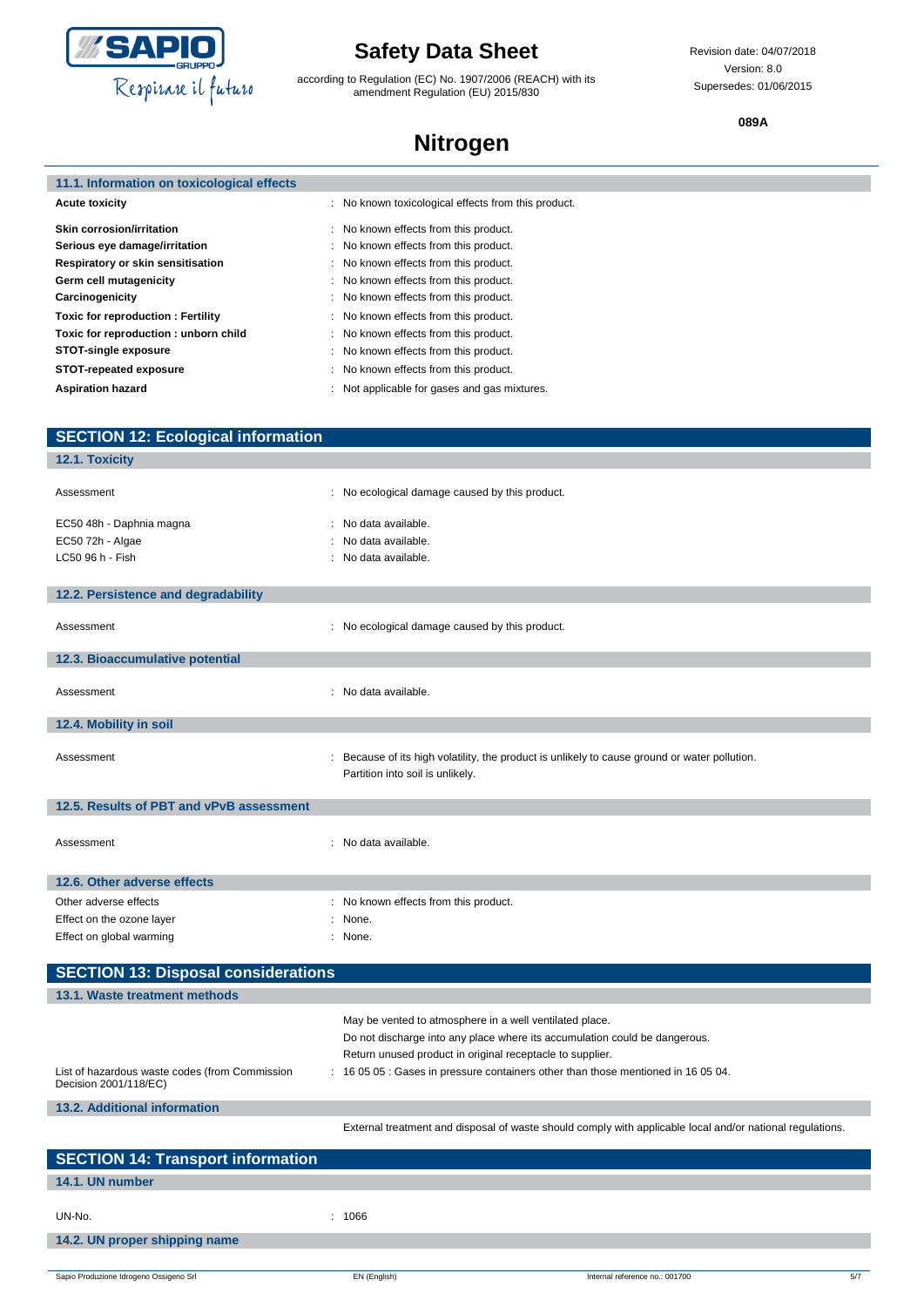

according to Regulation (EC) No. 1907/2006 (REACH) with its amendment Regulation (EU) 2015/830

Revision date: 04/07/2018 Version: 8.0 Supersedes: 01/06/2015

**089A**

## **Nitrogen**

| 11.1. Information on toxicological effects |
|--------------------------------------------|
|--------------------------------------------|

Г

| <b>Acute toxicity</b>                    | : No known toxicological effects from this product. |
|------------------------------------------|-----------------------------------------------------|
| <b>Skin corrosion/irritation</b>         | : No known effects from this product.               |
| Serious eye damage/irritation            | : No known effects from this product.               |
| Respiratory or skin sensitisation        | : No known effects from this product.               |
| Germ cell mutagenicity                   | : No known effects from this product.               |
| Carcinogenicity                          | : No known effects from this product.               |
| <b>Toxic for reproduction: Fertility</b> | : No known effects from this product.               |
| Toxic for reproduction: unborn child     | : No known effects from this product.               |
| <b>STOT-single exposure</b>              | : No known effects from this product.               |
| STOT-repeated exposure                   | : No known effects from this product.               |
| <b>Aspiration hazard</b>                 | : Not applicable for gases and gas mixtures.        |

| <b>SECTION 12: Ecological information</b>                               |                                                                                                                                                                                                                                                                                         |
|-------------------------------------------------------------------------|-----------------------------------------------------------------------------------------------------------------------------------------------------------------------------------------------------------------------------------------------------------------------------------------|
| 12.1. Toxicity                                                          |                                                                                                                                                                                                                                                                                         |
| Assessment                                                              | : No ecological damage caused by this product.                                                                                                                                                                                                                                          |
| EC50 48h - Daphnia magna<br>EC50 72h - Algae<br>LC50 96 h - Fish        | : No data available.<br>: No data available.<br>: No data available.                                                                                                                                                                                                                    |
| 12.2. Persistence and degradability                                     |                                                                                                                                                                                                                                                                                         |
| Assessment                                                              | : No ecological damage caused by this product.                                                                                                                                                                                                                                          |
| 12.3. Bioaccumulative potential                                         |                                                                                                                                                                                                                                                                                         |
| Assessment                                                              | : No data available.                                                                                                                                                                                                                                                                    |
| 12.4. Mobility in soil                                                  |                                                                                                                                                                                                                                                                                         |
| Assessment                                                              | : Because of its high volatility, the product is unlikely to cause ground or water pollution.<br>Partition into soil is unlikely.                                                                                                                                                       |
| 12.5. Results of PBT and vPvB assessment                                |                                                                                                                                                                                                                                                                                         |
| Assessment                                                              | : No data available.                                                                                                                                                                                                                                                                    |
| 12.6. Other adverse effects                                             |                                                                                                                                                                                                                                                                                         |
| Other adverse effects                                                   | : No known effects from this product.                                                                                                                                                                                                                                                   |
| Effect on the ozone layer                                               | : None.                                                                                                                                                                                                                                                                                 |
| Effect on global warming                                                | : None.                                                                                                                                                                                                                                                                                 |
| <b>SECTION 13: Disposal considerations</b>                              |                                                                                                                                                                                                                                                                                         |
| 13.1. Waste treatment methods                                           |                                                                                                                                                                                                                                                                                         |
| List of hazardous waste codes (from Commission<br>Decision 2001/118/EC) | May be vented to atmosphere in a well ventilated place.<br>Do not discharge into any place where its accumulation could be dangerous.<br>Return unused product in original receptacle to supplier.<br>: 16 05 05 : Gases in pressure containers other than those mentioned in 16 05 04. |
| <b>13.2. Additional information</b>                                     |                                                                                                                                                                                                                                                                                         |
|                                                                         | External treatment and disposal of waste should comply with applicable local and/or national regulations.                                                                                                                                                                               |
| <b>SECTION 14: Transport information</b>                                |                                                                                                                                                                                                                                                                                         |

| $\blacksquare$ SECTION 14: Transport information |        |  |  |  |
|--------------------------------------------------|--------|--|--|--|
| 14.1. UN number                                  |        |  |  |  |
| UN-No.                                           | : 1066 |  |  |  |
| 14.2. UN proper shipping name                    |        |  |  |  |
|                                                  |        |  |  |  |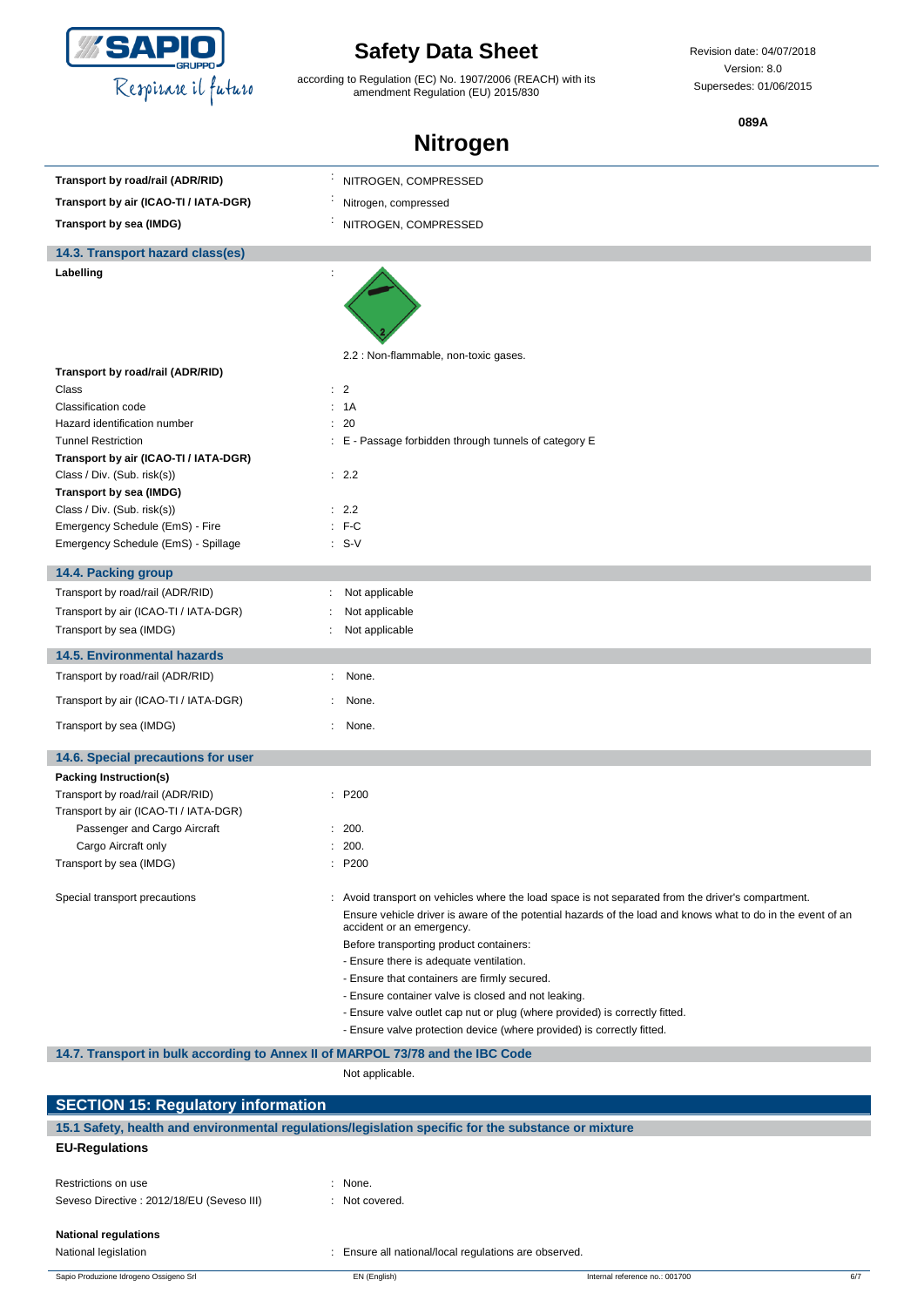

according to Regulation (EC) No. 1907/2006 (REACH) with its amendment Regulation (EU) 2015/830

Revision date: 04/07/2018 Version: 8.0 Supersedes: 01/06/2015

**089A**

| Transport by road/rail (ADR/RID)                                               | NITROGEN, COMPRESSED                                                                                                                                  |  |  |
|--------------------------------------------------------------------------------|-------------------------------------------------------------------------------------------------------------------------------------------------------|--|--|
| Transport by air (ICAO-TI / IATA-DGR)                                          | Nitrogen, compressed                                                                                                                                  |  |  |
| Transport by sea (IMDG)                                                        | NITROGEN, COMPRESSED                                                                                                                                  |  |  |
| 14.3. Transport hazard class(es)                                               |                                                                                                                                                       |  |  |
| Labelling                                                                      |                                                                                                                                                       |  |  |
|                                                                                |                                                                                                                                                       |  |  |
|                                                                                |                                                                                                                                                       |  |  |
|                                                                                |                                                                                                                                                       |  |  |
|                                                                                | 2.2 : Non-flammable, non-toxic gases.                                                                                                                 |  |  |
| Transport by road/rail (ADR/RID)                                               |                                                                                                                                                       |  |  |
| Class<br>Classification code                                                   | $\therefore$ 2<br>: 1A                                                                                                                                |  |  |
| Hazard identification number                                                   | : 20                                                                                                                                                  |  |  |
| <b>Tunnel Restriction</b>                                                      | : E - Passage forbidden through tunnels of category E                                                                                                 |  |  |
| Transport by air (ICAO-TI / IATA-DGR)                                          |                                                                                                                                                       |  |  |
| Class / Div. (Sub. risk(s))                                                    | : 2.2                                                                                                                                                 |  |  |
| Transport by sea (IMDG)                                                        |                                                                                                                                                       |  |  |
| Class / Div. (Sub. risk(s))<br>Emergency Schedule (EmS) - Fire                 | : 2.2<br>$: F-C$                                                                                                                                      |  |  |
| Emergency Schedule (EmS) - Spillage                                            | $: S-V$                                                                                                                                               |  |  |
|                                                                                |                                                                                                                                                       |  |  |
| 14.4. Packing group                                                            |                                                                                                                                                       |  |  |
| Transport by road/rail (ADR/RID)                                               | Not applicable                                                                                                                                        |  |  |
| Transport by air (ICAO-TI / IATA-DGR)                                          | Not applicable                                                                                                                                        |  |  |
| Transport by sea (IMDG)                                                        | Not applicable                                                                                                                                        |  |  |
| <b>14.5. Environmental hazards</b>                                             |                                                                                                                                                       |  |  |
| Transport by road/rail (ADR/RID)                                               | None.                                                                                                                                                 |  |  |
| Transport by air (ICAO-TI / IATA-DGR)                                          | None.                                                                                                                                                 |  |  |
| Transport by sea (IMDG)                                                        | None.                                                                                                                                                 |  |  |
| 14.6. Special precautions for user                                             |                                                                                                                                                       |  |  |
| <b>Packing Instruction(s)</b>                                                  |                                                                                                                                                       |  |  |
| Transport by road/rail (ADR/RID)                                               | : P200                                                                                                                                                |  |  |
| Transport by air (ICAO-TI / IATA-DGR)                                          |                                                                                                                                                       |  |  |
| Passenger and Cargo Aircraft<br>Cargo Aircraft only                            | 200.<br>: 200.                                                                                                                                        |  |  |
| Transport by sea (IMDG)                                                        | P200                                                                                                                                                  |  |  |
|                                                                                |                                                                                                                                                       |  |  |
| Special transport precautions                                                  | Avoid transport on vehicles where the load space is not separated from the driver's compartment.                                                      |  |  |
|                                                                                | Ensure vehicle driver is aware of the potential hazards of the load and knows what to do in the event of an<br>accident or an emergency.              |  |  |
|                                                                                | Before transporting product containers:                                                                                                               |  |  |
|                                                                                | - Ensure there is adequate ventilation.                                                                                                               |  |  |
|                                                                                | - Ensure that containers are firmly secured.                                                                                                          |  |  |
|                                                                                | - Ensure container valve is closed and not leaking.                                                                                                   |  |  |
|                                                                                | - Ensure valve outlet cap nut or plug (where provided) is correctly fitted.<br>- Ensure valve protection device (where provided) is correctly fitted. |  |  |
|                                                                                |                                                                                                                                                       |  |  |
| 14.7. Transport in bulk according to Annex II of MARPOL 73/78 and the IBC Code |                                                                                                                                                       |  |  |
|                                                                                | Not applicable.                                                                                                                                       |  |  |
| <b>SECTION 15: Regulatory information</b>                                      |                                                                                                                                                       |  |  |
|                                                                                | 15.1 Safety, health and environmental regulations/legislation specific for the substance or mixture                                                   |  |  |
| <b>EU-Regulations</b>                                                          |                                                                                                                                                       |  |  |
| Restrictions on use                                                            | None.                                                                                                                                                 |  |  |
| Seveso Directive : 2012/18/EU (Seveso III)                                     | : Not covered.                                                                                                                                        |  |  |
|                                                                                |                                                                                                                                                       |  |  |
| <b>National regulations</b>                                                    |                                                                                                                                                       |  |  |
| National legislation                                                           | : Ensure all national/local regulations are observed.                                                                                                 |  |  |
| Sapio Produzione Idrogeno Ossigeno Srl                                         | EN (English)<br>Internal reference no.: 001700<br>6/7                                                                                                 |  |  |